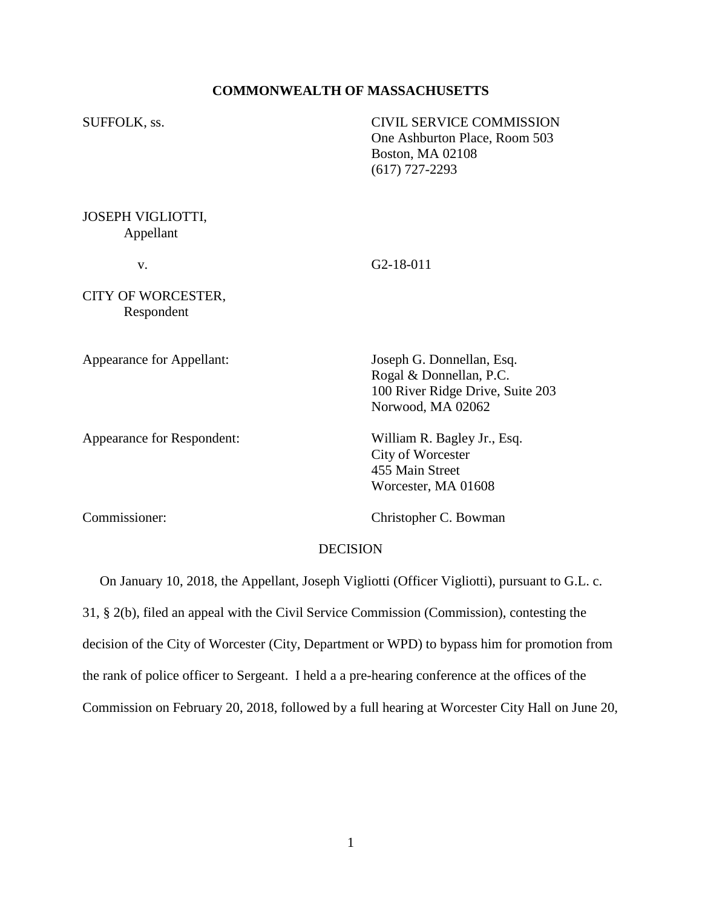## **COMMONWEALTH OF MASSACHUSETTS**

SUFFOLK, ss. CIVIL SERVICE COMMISSION One Ashburton Place, Room 503 Boston, MA 02108 (617) 727-2293 JOSEPH VIGLIOTTI,

v. G2-18-011

CITY OF WORCESTER, Respondent

Appellant

Appearance for Respondent: William R. Bagley Jr., Esq.

Appearance for Appellant: Joseph G. Donnellan, Esq. Rogal & Donnellan, P.C. 100 River Ridge Drive, Suite 203 Norwood, MA 02062

> City of Worcester 455 Main Street Worcester, MA 01608

Commissioner: Christopher C. Bowman

### DECISION

On January 10, 2018, the Appellant, Joseph Vigliotti (Officer Vigliotti), pursuant to G.L. c.

31, § 2(b), filed an appeal with the Civil Service Commission (Commission), contesting the

decision of the City of Worcester (City, Department or WPD) to bypass him for promotion from

the rank of police officer to Sergeant. I held a a pre-hearing conference at the offices of the

Commission on February 20, 2018, followed by a full hearing at Worcester City Hall on June 20,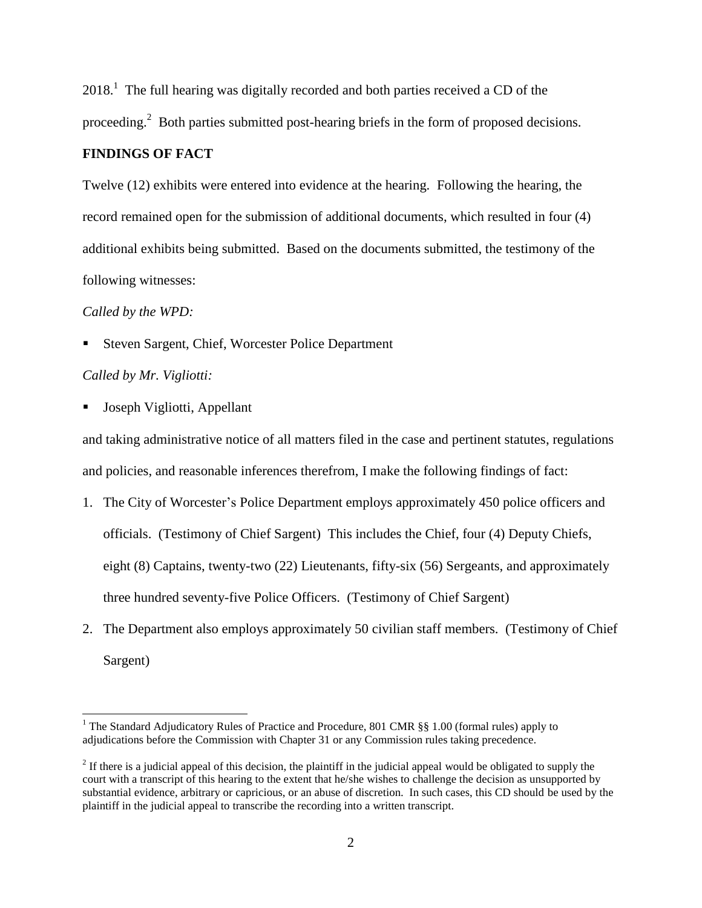$2018<sup>1</sup>$ . The full hearing was digitally recorded and both parties received a CD of the proceeding.<sup>2</sup> Both parties submitted post-hearing briefs in the form of proposed decisions.

# **FINDINGS OF FACT**

Twelve (12) exhibits were entered into evidence at the hearing. Following the hearing, the record remained open for the submission of additional documents, which resulted in four (4) additional exhibits being submitted. Based on the documents submitted, the testimony of the following witnesses:

### *Called by the WPD:*

■ Steven Sargent, Chief, Worcester Police Department

## *Called by Mr. Vigliotti:*

l

Joseph Vigliotti, Appellant

and taking administrative notice of all matters filed in the case and pertinent statutes, regulations and policies, and reasonable inferences therefrom, I make the following findings of fact:

- 1. The City of Worcester's Police Department employs approximately 450 police officers and officials. (Testimony of Chief Sargent) This includes the Chief, four (4) Deputy Chiefs, eight (8) Captains, twenty-two (22) Lieutenants, fifty-six (56) Sergeants, and approximately three hundred seventy-five Police Officers. (Testimony of Chief Sargent)
- 2. The Department also employs approximately 50 civilian staff members. (Testimony of Chief Sargent)

<sup>&</sup>lt;sup>1</sup> The Standard Adjudicatory Rules of Practice and Procedure, 801 CMR  $\S$ § 1.00 (formal rules) apply to adjudications before the Commission with Chapter 31 or any Commission rules taking precedence.

 $2<sup>2</sup>$  If there is a judicial appeal of this decision, the plaintiff in the judicial appeal would be obligated to supply the court with a transcript of this hearing to the extent that he/she wishes to challenge the decision as unsupported by substantial evidence, arbitrary or capricious, or an abuse of discretion. In such cases, this CD should be used by the plaintiff in the judicial appeal to transcribe the recording into a written transcript.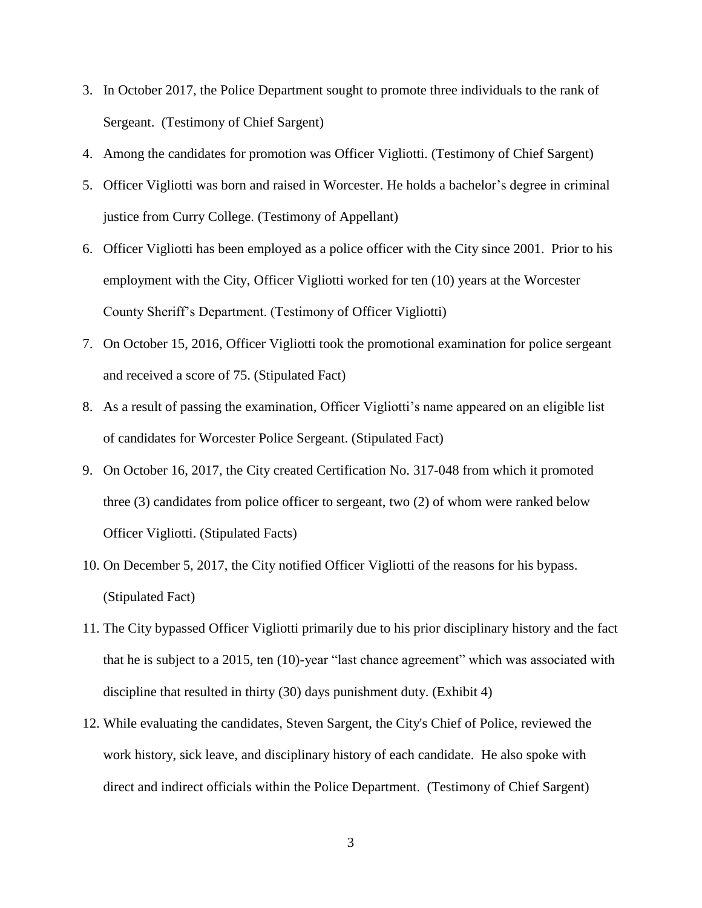- 3. In October 2017, the Police Department sought to promote three individuals to the rank of Sergeant. (Testimony of Chief Sargent)
- 4. Among the candidates for promotion was Officer Vigliotti. (Testimony of Chief Sargent)
- 5. Officer Vigliotti was born and raised in Worcester. He holds a bachelor's degree in criminal justice from Curry College. (Testimony of Appellant)
- 6. Officer Vigliotti has been employed as a police officer with the City since 2001. Prior to his employment with the City, Officer Vigliotti worked for ten (10) years at the Worcester County Sheriff's Department. (Testimony of Officer Vigliotti)
- 7. On October 15, 2016, Officer Vigliotti took the promotional examination for police sergeant and received a score of 75. (Stipulated Fact)
- 8. As a result of passing the examination, Officer Vigliotti's name appeared on an eligible list of candidates for Worcester Police Sergeant. (Stipulated Fact)
- 9. On October 16, 2017, the City created Certification No. 317-048 from which it promoted three (3) candidates from police officer to sergeant, two (2) of whom were ranked below Officer Vigliotti. (Stipulated Facts)
- 10. On December 5, 2017, the City notified Officer Vigliotti of the reasons for his bypass. (Stipulated Fact)
- 11. The City bypassed Officer Vigliotti primarily due to his prior disciplinary history and the fact that he is subject to a 2015, ten (10)-year "last chance agreement" which was associated with discipline that resulted in thirty (30) days punishment duty. (Exhibit 4)
- 12. While evaluating the candidates, Steven Sargent, the City's Chief of Police, reviewed the work history, sick leave, and disciplinary history of each candidate. He also spoke with direct and indirect officials within the Police Department. (Testimony of Chief Sargent)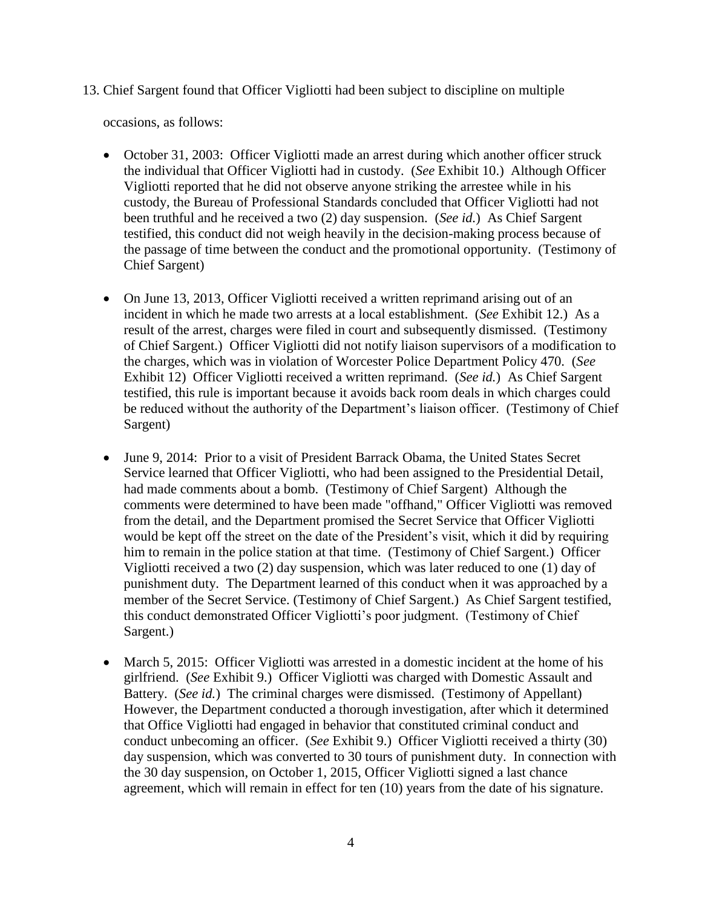13. Chief Sargent found that Officer Vigliotti had been subject to discipline on multiple

occasions, as follows:

- October 31, 2003: Officer Vigliotti made an arrest during which another officer struck the individual that Officer Vigliotti had in custody. (*See* Exhibit 10.) Although Officer Vigliotti reported that he did not observe anyone striking the arrestee while in his custody, the Bureau of Professional Standards concluded that Officer Vigliotti had not been truthful and he received a two (2) day suspension. (*See id.*) As Chief Sargent testified, this conduct did not weigh heavily in the decision-making process because of the passage of time between the conduct and the promotional opportunity. (Testimony of Chief Sargent)
- On June 13, 2013, Officer Vigliotti received a written reprimand arising out of an incident in which he made two arrests at a local establishment. (*See* Exhibit 12.) As a result of the arrest, charges were filed in court and subsequently dismissed. (Testimony of Chief Sargent.) Officer Vigliotti did not notify liaison supervisors of a modification to the charges, which was in violation of Worcester Police Department Policy 470. (*See*  Exhibit 12) Officer Vigliotti received a written reprimand. (*See id.*) As Chief Sargent testified, this rule is important because it avoids back room deals in which charges could be reduced without the authority of the Department's liaison officer. (Testimony of Chief Sargent)
- June 9, 2014: Prior to a visit of President Barrack Obama, the United States Secret Service learned that Officer Vigliotti, who had been assigned to the Presidential Detail, had made comments about a bomb. (Testimony of Chief Sargent) Although the comments were determined to have been made "offhand," Officer Vigliotti was removed from the detail, and the Department promised the Secret Service that Officer Vigliotti would be kept off the street on the date of the President's visit, which it did by requiring him to remain in the police station at that time. (Testimony of Chief Sargent.) Officer Vigliotti received a two (2) day suspension, which was later reduced to one (1) day of punishment duty. The Department learned of this conduct when it was approached by a member of the Secret Service. (Testimony of Chief Sargent.) As Chief Sargent testified, this conduct demonstrated Officer Vigliotti's poor judgment. (Testimony of Chief Sargent.)
- March 5, 2015: Officer Vigliotti was arrested in a domestic incident at the home of his girlfriend. (*See* Exhibit 9.) Officer Vigliotti was charged with Domestic Assault and Battery. (*See id.*) The criminal charges were dismissed. (Testimony of Appellant) However, the Department conducted a thorough investigation, after which it determined that Office Vigliotti had engaged in behavior that constituted criminal conduct and conduct unbecoming an officer. (*See* Exhibit 9.) Officer Vigliotti received a thirty (30) day suspension, which was converted to 30 tours of punishment duty. In connection with the 30 day suspension, on October 1, 2015, Officer Vigliotti signed a last chance agreement, which will remain in effect for ten (10) years from the date of his signature.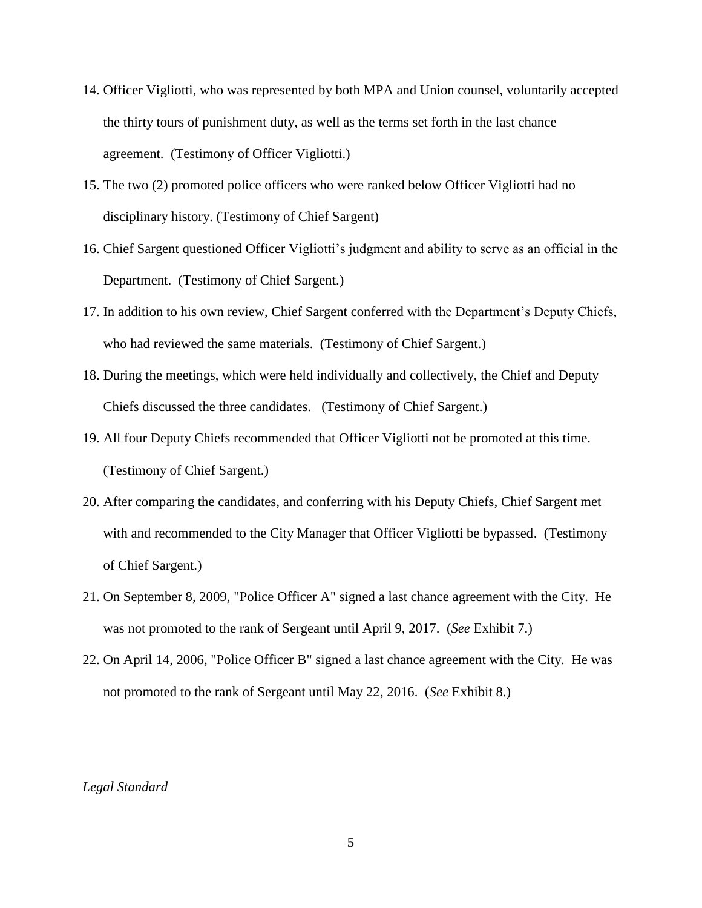- 14. Officer Vigliotti, who was represented by both MPA and Union counsel, voluntarily accepted the thirty tours of punishment duty, as well as the terms set forth in the last chance agreement. (Testimony of Officer Vigliotti.)
- 15. The two (2) promoted police officers who were ranked below Officer Vigliotti had no disciplinary history. (Testimony of Chief Sargent)
- 16. Chief Sargent questioned Officer Vigliotti's judgment and ability to serve as an official in the Department. (Testimony of Chief Sargent.)
- 17. In addition to his own review, Chief Sargent conferred with the Department's Deputy Chiefs, who had reviewed the same materials. (Testimony of Chief Sargent.)
- 18. During the meetings, which were held individually and collectively, the Chief and Deputy Chiefs discussed the three candidates. (Testimony of Chief Sargent.)
- 19. All four Deputy Chiefs recommended that Officer Vigliotti not be promoted at this time. (Testimony of Chief Sargent.)
- 20. After comparing the candidates, and conferring with his Deputy Chiefs, Chief Sargent met with and recommended to the City Manager that Officer Vigliotti be bypassed. (Testimony of Chief Sargent.)
- 21. On September 8, 2009, "Police Officer A" signed a last chance agreement with the City. He was not promoted to the rank of Sergeant until April 9, 2017. (*See* Exhibit 7.)
- 22. On April 14, 2006, "Police Officer B" signed a last chance agreement with the City. He was not promoted to the rank of Sergeant until May 22, 2016. (*See* Exhibit 8.)

### *Legal Standard*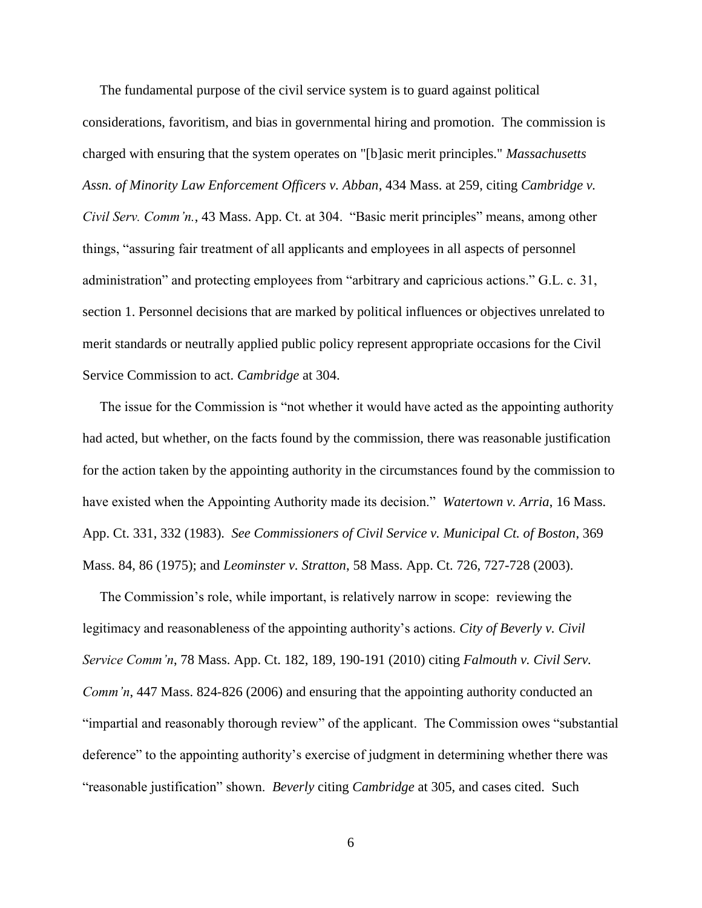The fundamental purpose of the civil service system is to guard against political considerations, favoritism, and bias in governmental hiring and promotion. The commission is charged with ensuring that the system operates on "[b]asic merit principles." *Massachusetts Assn. of Minority Law Enforcement Officers v. Abban*, 434 Mass. at 259, citing *Cambridge v. Civil Serv. Comm'n.*, 43 Mass. App. Ct. at 304. "Basic merit principles" means, among other things, "assuring fair treatment of all applicants and employees in all aspects of personnel administration" and protecting employees from "arbitrary and capricious actions." G.L. c. 31, section 1. Personnel decisions that are marked by political influences or objectives unrelated to merit standards or neutrally applied public policy represent appropriate occasions for the Civil Service Commission to act. *Cambridge* at 304.

 The issue for the Commission is "not whether it would have acted as the appointing authority had acted, but whether, on the facts found by the commission, there was reasonable justification for the action taken by the appointing authority in the circumstances found by the commission to have existed when the Appointing Authority made its decision." *Watertown v. Arria*, 16 Mass. App. Ct. 331, 332 (1983). *See Commissioners of Civil Service v. Municipal Ct. of Boston*, 369 Mass. 84, 86 (1975); and *Leominster v. Stratton*, 58 Mass. App. Ct. 726, 727-728 (2003).

 The Commission's role, while important, is relatively narrow in scope: reviewing the legitimacy and reasonableness of the appointing authority's actions. *City of Beverly v. Civil Service Comm'n*, 78 Mass. App. Ct. 182, 189, 190-191 (2010) citing *Falmouth v. Civil Serv. Comm'n*, 447 Mass. 824-826 (2006) and ensuring that the appointing authority conducted an "impartial and reasonably thorough review" of the applicant. The Commission owes "substantial deference" to the appointing authority's exercise of judgment in determining whether there was "reasonable justification" shown. *Beverly* citing *Cambridge* at 305, and cases cited. Such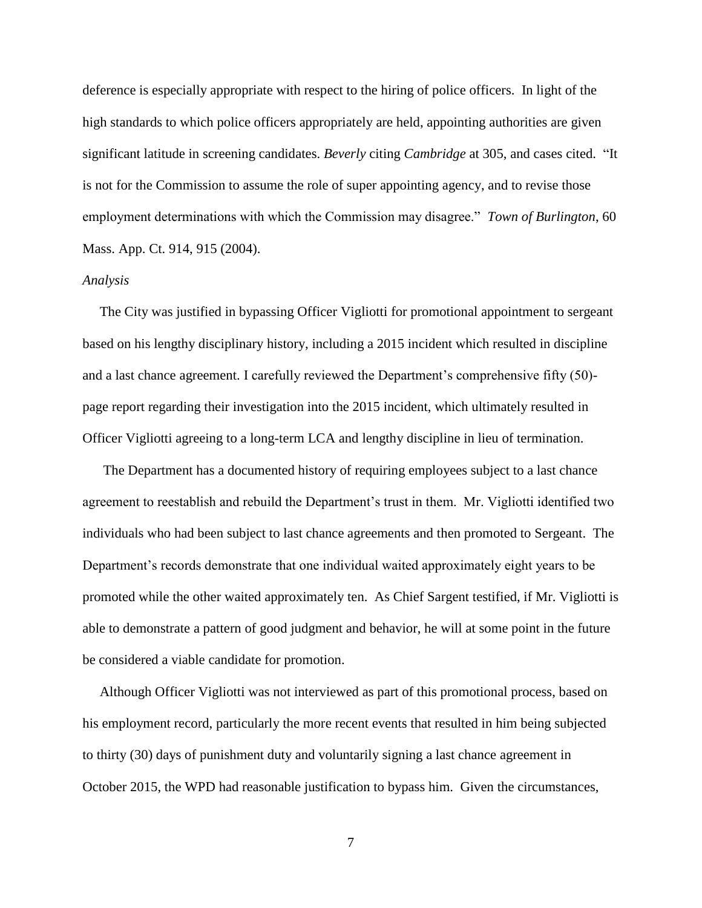deference is especially appropriate with respect to the hiring of police officers. In light of the high standards to which police officers appropriately are held, appointing authorities are given significant latitude in screening candidates. *Beverly* citing *Cambridge* at 305, and cases cited. "It is not for the Commission to assume the role of super appointing agency, and to revise those employment determinations with which the Commission may disagree." *Town of Burlington*, 60 Mass. App. Ct. 914, 915 (2004).

#### *Analysis*

 The City was justified in bypassing Officer Vigliotti for promotional appointment to sergeant based on his lengthy disciplinary history, including a 2015 incident which resulted in discipline and a last chance agreement. I carefully reviewed the Department's comprehensive fifty (50) page report regarding their investigation into the 2015 incident, which ultimately resulted in Officer Vigliotti agreeing to a long-term LCA and lengthy discipline in lieu of termination.

 The Department has a documented history of requiring employees subject to a last chance agreement to reestablish and rebuild the Department's trust in them. Mr. Vigliotti identified two individuals who had been subject to last chance agreements and then promoted to Sergeant. The Department's records demonstrate that one individual waited approximately eight years to be promoted while the other waited approximately ten. As Chief Sargent testified, if Mr. Vigliotti is able to demonstrate a pattern of good judgment and behavior, he will at some point in the future be considered a viable candidate for promotion.

 Although Officer Vigliotti was not interviewed as part of this promotional process, based on his employment record, particularly the more recent events that resulted in him being subjected to thirty (30) days of punishment duty and voluntarily signing a last chance agreement in October 2015, the WPD had reasonable justification to bypass him. Given the circumstances,

7